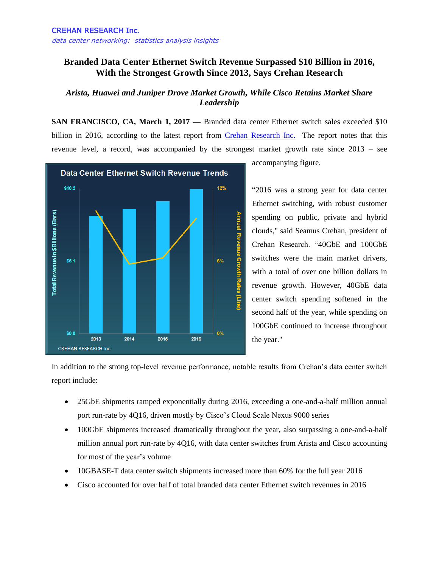## **Branded Data Center Ethernet Switch Revenue Surpassed \$10 Billion in 2016, With the Strongest Growth Since 2013, Says Crehan Research**

## *Arista, Huawei and Juniper Drove Market Growth, While Cisco Retains Market Share Leadership*

**SAN FRANCISCO, CA, March 1, 2017 —** Branded data center Ethernet switch sales exceeded \$10 billion in 2016, according to the latest report from [Crehan Research Inc.](http://www.crehanresearch.com/) The report notes that this revenue level, a record, was accompanied by the strongest market growth rate since 2013 – see



accompanying figure.

"2016 was a strong year for data center Ethernet switching, with robust customer spending on public, private and hybrid clouds," said Seamus Crehan, president of Crehan Research. "40GbE and 100GbE switches were the main market drivers, with a total of over one billion dollars in revenue growth. However, 40GbE data center switch spending softened in the second half of the year, while spending on 100GbE continued to increase throughout the year."

In addition to the strong top-level revenue performance, notable results from Crehan's data center switch report include:

- 25GbE shipments ramped exponentially during 2016, exceeding a one-and-a-half million annual port run-rate by 4Q16, driven mostly by Cisco's Cloud Scale Nexus 9000 series
- 100GbE shipments increased dramatically throughout the year, also surpassing a one-and-a-half million annual port run-rate by 4Q16, with data center switches from Arista and Cisco accounting for most of the year's volume
- 10GBASE-T data center switch shipments increased more than 60% for the full year 2016
- Cisco accounted for over half of total branded data center Ethernet switch revenues in 2016